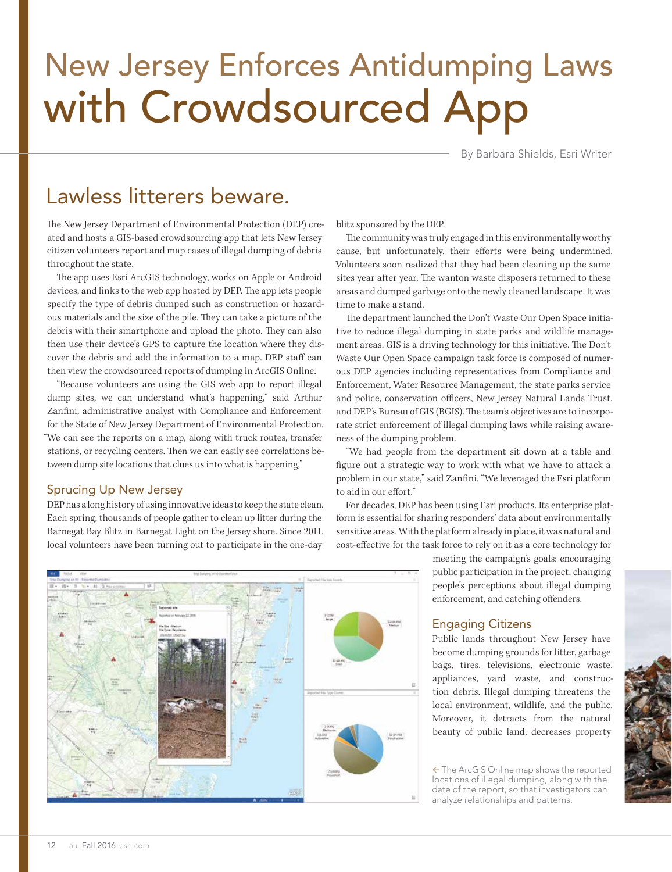# New Jersey Enforces Antidumping Laws with Crowdsourced App

By Barbara Shields, Esri Writer

# Lawless litterers beware.

The New Jersey Department of Environmental Protection (DEP) created and hosts a GIS-based crowdsourcing app that lets New Jersey citizen volunteers report and map cases of illegal dumping of debris throughout the state.

The app uses Esri ArcGIS technology, works on Apple or Android devices, and links to the web app hosted by DEP. The app lets people specify the type of debris dumped such as construction or hazardous materials and the size of the pile. They can take a picture of the debris with their smartphone and upload the photo. They can also then use their device's GPS to capture the location where they discover the debris and add the information to a map. DEP staff can then view the crowdsourced reports of dumping in ArcGIS Online.

"Because volunteers are using the GIS web app to report illegal dump sites, we can understand what's happening," said Arthur Zanfini, administrative analyst with Compliance and Enforcement for the State of New Jersey Department of Environmental Protection. "We can see the reports on a map, along with truck routes, transfer stations, or recycling centers. Then we can easily see correlations between dump site locations that clues us into what is happening,"

# Sprucing Up New Jersey

DEP has a long history of using innovative ideas to keep the state clean. Each spring, thousands of people gather to clean up litter during the Barnegat Bay Blitz in Barnegat Light on the Jersey shore. Since 2011, local volunteers have been turning out to participate in the one-day

blitz sponsored by the DEP.

The community was truly engaged in this environmentally worthy cause, but unfortunately, their efforts were being undermined. Volunteers soon realized that they had been cleaning up the same sites year after year. The wanton waste disposers returned to these areas and dumped garbage onto the newly cleaned landscape. It was time to make a stand.

The department launched the Don't Waste Our Open Space initiative to reduce illegal dumping in state parks and wildlife management areas. GIS is a driving technology for this initiative. The Don't Waste Our Open Space campaign task force is composed of numerous DEP agencies including representatives from Compliance and Enforcement, Water Resource Management, the state parks service and police, conservation officers, New Jersey Natural Lands Trust, and DEP's Bureau of GIS (BGIS). The team's objectives are to incorporate strict enforcement of illegal dumping laws while raising awareness of the dumping problem.

"We had people from the department sit down at a table and figure out a strategic way to work with what we have to attack a problem in our state," said Zanfini. "We leveraged the Esri platform to aid in our effort."

For decades, DEP has been using Esri products. Its enterprise platform is essential for sharing responders' data about environmentally sensitive areas. With the platform already in place, it was natural and cost-effective for the task force to rely on it as a core technology for

> meeting the campaign's goals: encouraging public participation in the project, changing people's perceptions about illegal dumping enforcement, and catching offenders.

# Engaging Citizens

Public lands throughout New Jersey have become dumping grounds for litter, garbage bags, tires, televisions, electronic waste, appliances, yard waste, and construction debris. Illegal dumping threatens the local environment, wildlife, and the public. Moreover, it detracts from the natural beauty of public land, decreases property

 The ArcGIS Online map shows the reported locations of illegal dumping, along with the date of the report, so that investigators can analyze relationships and patterns.



12 au Fall 2016 esri.com